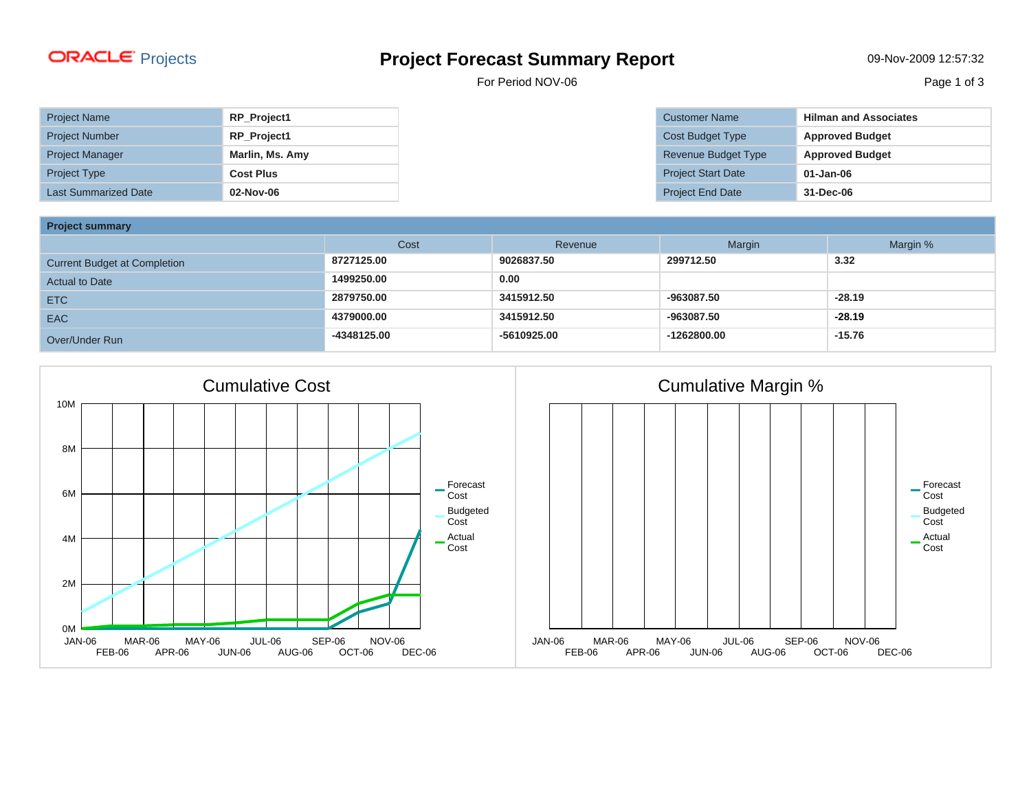## Projects **Project Forecast Summary Report** 09-Nov-2009 12:57:32

For Period NOV-06 Page 1 of 3

| <b>Project Name</b>         | <b>RP Project1</b> |
|-----------------------------|--------------------|
| <b>Project Number</b>       | RP_Project1        |
| <b>Project Manager</b>      | Marlin, Ms. Amy    |
| <b>Project Type</b>         | <b>Cost Plus</b>   |
| <b>Last Summarized Date</b> | 02-Nov-06          |

| <b>Customer Name</b>      | <b>Hilman and Associates</b> |
|---------------------------|------------------------------|
| Cost Budget Type          | <b>Approved Budget</b>       |
| Revenue Budget Type       | <b>Approved Budget</b>       |
| <b>Project Start Date</b> | $01 - Jan-06$                |
| <b>Project End Date</b>   | 31-Dec-06                    |

**Project summary**

| <b>Project Summary</b>              |             |             |             |          |  |  |  |  |
|-------------------------------------|-------------|-------------|-------------|----------|--|--|--|--|
|                                     | Cost        | Revenue     | Margin      | Margin % |  |  |  |  |
| <b>Current Budget at Completion</b> | 8727125.00  | 9026837.50  | 299712.50   | 3.32     |  |  |  |  |
| <b>Actual to Date</b>               | 1499250.00  | 0.00        |             |          |  |  |  |  |
| <b>ETC</b>                          | 2879750.00  | 3415912.50  | -963087.50  | $-28.19$ |  |  |  |  |
| <b>EAC</b>                          | 4379000.00  | 3415912.50  | -963087.50  | $-28.19$ |  |  |  |  |
| Over/Under Run                      | -4348125.00 | -5610925.00 | -1262800.00 | $-15.76$ |  |  |  |  |



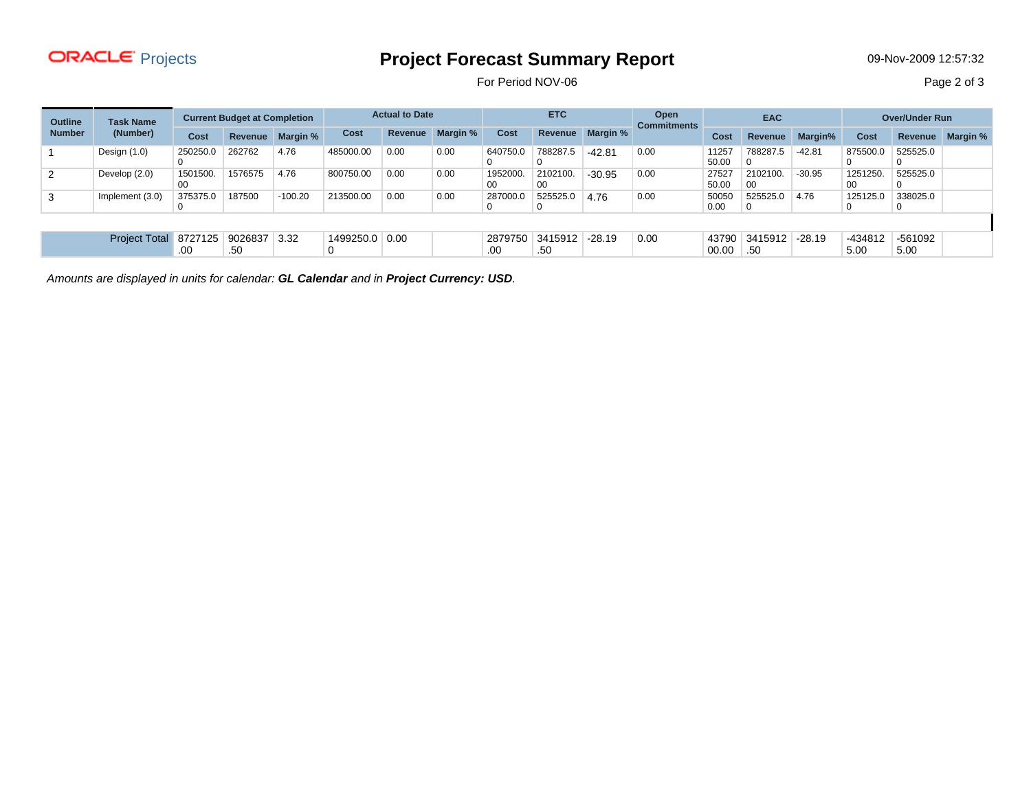## Projects **Project Forecast Summary Report** 09-Nov-2009 12:57:32

For Period NOV-06 Page 2 of 3

| <b>Task Name</b><br><b>Outline</b><br><b>Number</b><br>(Number) |                      | <b>Current Budget at Completion</b> |                | <b>Actual to Date</b> |                | <b>ETC</b>     |          | Open<br><b>Commitments</b> | <b>EAC</b>             |                  | <b>Over/Under Run</b> |                |                      |          |                 |                 |                 |
|-----------------------------------------------------------------|----------------------|-------------------------------------|----------------|-----------------------|----------------|----------------|----------|----------------------------|------------------------|------------------|-----------------------|----------------|----------------------|----------|-----------------|-----------------|-----------------|
|                                                                 |                      | <b>Cost</b>                         | <b>Revenue</b> | Margin %              | Cost           | <b>Revenue</b> | Margin % | Cost                       |                        | Revenue Margin % |                       | Cost           | Revenue              | Margin%  | <b>Cost</b>     | Revenue         | <b>Margin %</b> |
|                                                                 | Design $(1.0)$       | 250250.0                            | 262762         | 4.76                  | 485000.00      | 0.00           | 0.00     | 640750.0                   | 788287.5               | $-42.81$         | 0.00                  | 11257<br>50.00 | 788287.5             | $-42.81$ | 875500.0        | 525525.0        |                 |
| 2                                                               | Develop (2.0)        | 1501500.<br>00                      | 1576575        | 4.76                  | 800750.00      | 0.00           | 0.00     | 1952000.<br>00             | 2102100.<br>00         | $-30.95$         | 0.00                  | 27527<br>50.00 | 2102100.<br>-00      | $-30.95$ | 1251250<br>00   | 525525.0        |                 |
| 3                                                               | Implement (3.0)      | 375375.0                            | 187500         | $-100.20$             | 213500.00      | 0.00           | 0.00     | 287000.0                   | 525525.0<br>0          | 4.76             | 0.00                  | 50050<br>0.00  | 525525.0             | 4.76     | 125125.0<br>0   | 338025.0<br>υ   |                 |
|                                                                 |                      |                                     |                |                       |                |                |          |                            |                        |                  |                       |                |                      |          |                 |                 |                 |
|                                                                 | <b>Project Total</b> | 8727125<br>.00                      | 9026837<br>.50 | 3.32                  | 1499250.0 0.00 |                |          | .00                        | 2879750 3415912<br>.50 | $-28.19$         | 0.00                  | 00.00          | 43790 3415912<br>.50 | $-28.19$ | -434812<br>5.00 | -561092<br>5.00 |                 |

Amounts are displayed in units for calendar: **GL Calendar** and in **Project Currency: USD**.